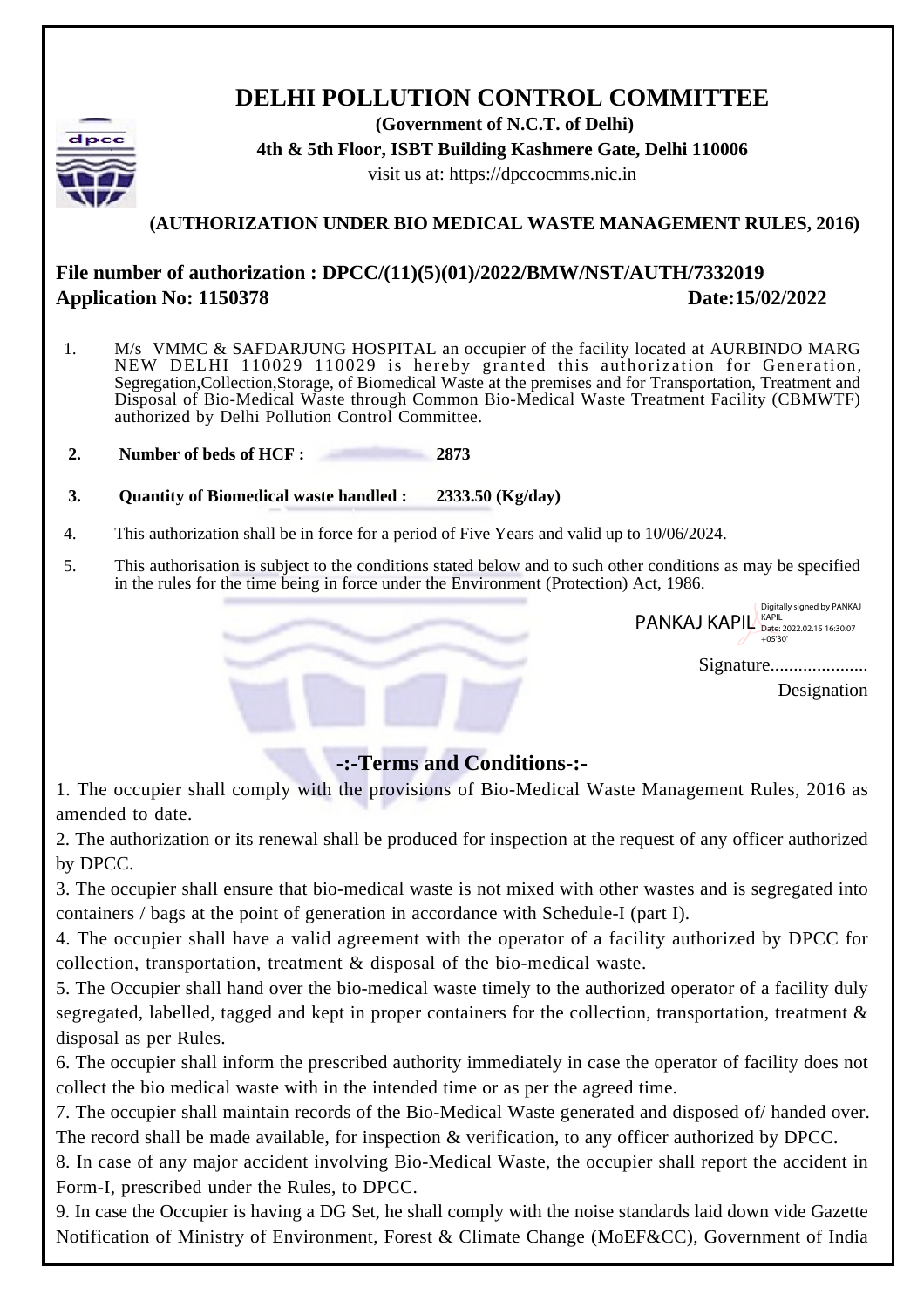## **DELHI POLLUTION CONTROL COMMITTEE**

**(Government of N.C.T. of Delhi) 4th & 5th Floor, ISBT Building Kashmere Gate, Delhi 110006** visit us at: https://dpccocmms.nic.in

## **(AUTHORIZATION UNDER BIO MEDICAL WASTE MANAGEMENT RULES, 2016)**

## **File number of authorization : DPCC/(11)(5)(01)/2022/BMW/NST/AUTH/7332019 Application No: 1150378** Date:15/02/2022

- 1. M/s VMMC & SAFDARJUNG HOSPITAL an occupier of the facility located at AURBINDO MARG NEW DELHI 110029 110029 is hereby granted this authorization for Generation, Segregation,Collection,Storage, of Biomedical Waste at the premises and for Transportation, Treatment and Disposal of Bio-Medical Waste through Common Bio-Medical Waste Treatment Facility (CBMWTF) authorized by Delhi Pollution Control Committee.
- **2. Number of beds of HCF : 2873**
- **3. Quantity of Biomedical waste handled : 2333.50 (Kg/day)**
- 4. This authorization shall be in force for a period of Five Years and valid up to 10/06/2024.
- 5. This authorisation is subject to the conditions stated below and to such other conditions as may be specified in the rules for the time being in force under the Environment (Protection) Act, 1986.

PANKAJ KAPIL Bate: 2022.02.15 16:30:07 Digitally signed by PANKAJ +05'30'

Signature.....................

Designation

## **-:-Terms and Conditions-:-**

1. The occupier shall comply with the provisions of Bio-Medical Waste Management Rules, 2016 as amended to date.

2. The authorization or its renewal shall be produced for inspection at the request of any officer authorized by DPCC.

3. The occupier shall ensure that bio-medical waste is not mixed with other wastes and is segregated into containers / bags at the point of generation in accordance with Schedule-I (part I).

4. The occupier shall have a valid agreement with the operator of a facility authorized by DPCC for collection, transportation, treatment & disposal of the bio-medical waste.

5. The Occupier shall hand over the bio-medical waste timely to the authorized operator of a facility duly segregated, labelled, tagged and kept in proper containers for the collection, transportation, treatment & disposal as per Rules.

6. The occupier shall inform the prescribed authority immediately in case the operator of facility does not collect the bio medical waste with in the intended time or as per the agreed time.

7. The occupier shall maintain records of the Bio-Medical Waste generated and disposed of/ handed over. The record shall be made available, for inspection & verification, to any officer authorized by DPCC.

8. In case of any major accident involving Bio-Medical Waste, the occupier shall report the accident in Form-I, prescribed under the Rules, to DPCC.

9. In case the Occupier is having a DG Set, he shall comply with the noise standards laid down vide Gazette Notification of Ministry of Environment, Forest & Climate Change (MoEF&CC), Government of India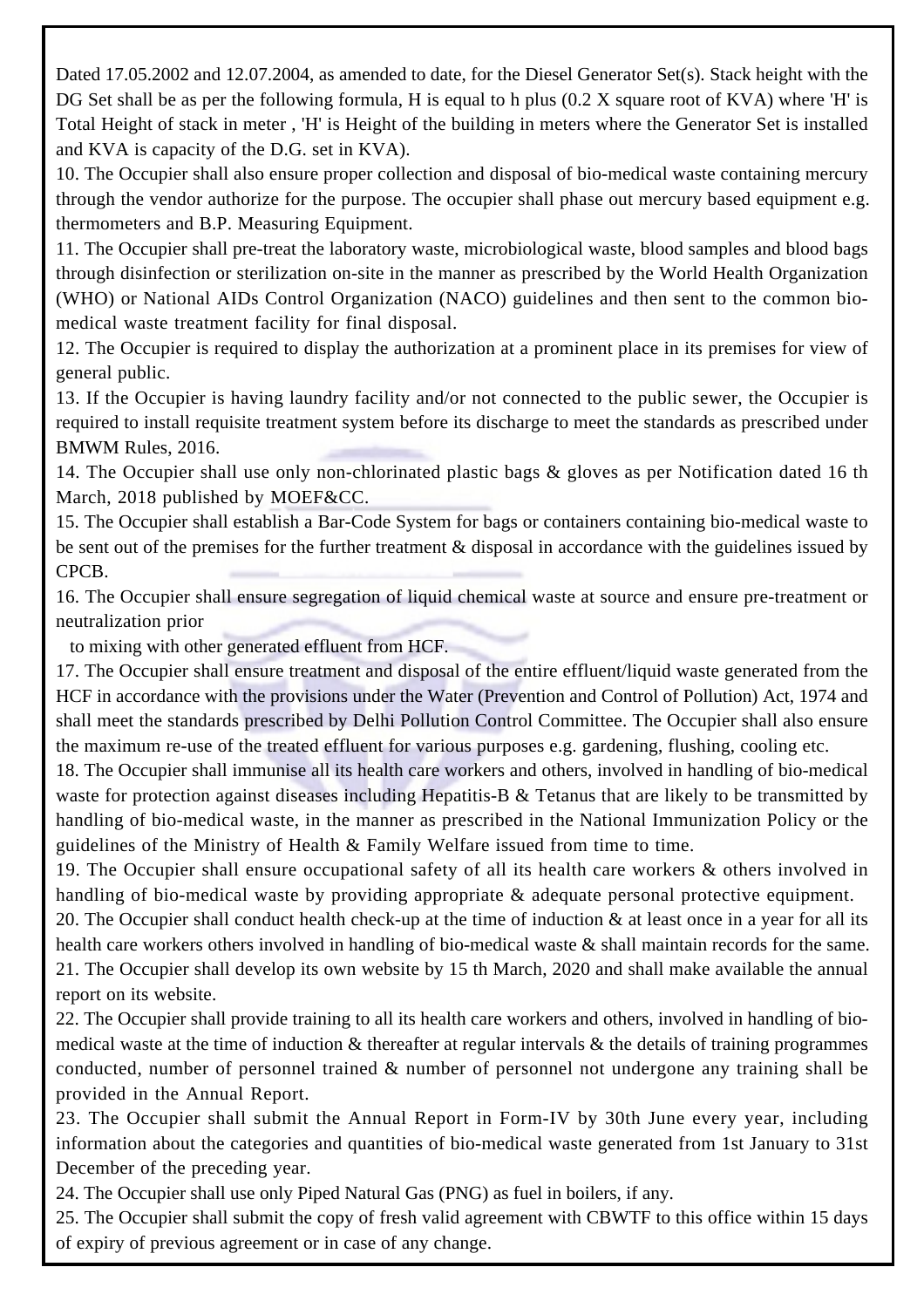Dated 17.05.2002 and 12.07.2004, as amended to date, for the Diesel Generator Set(s). Stack height with the DG Set shall be as per the following formula, H is equal to h plus (0.2 X square root of KVA) where 'H' is Total Height of stack in meter , 'H' is Height of the building in meters where the Generator Set is installed and KVA is capacity of the D.G. set in KVA).

10. The Occupier shall also ensure proper collection and disposal of bio-medical waste containing mercury through the vendor authorize for the purpose. The occupier shall phase out mercury based equipment e.g. thermometers and B.P. Measuring Equipment.

11. The Occupier shall pre-treat the laboratory waste, microbiological waste, blood samples and blood bags through disinfection or sterilization on-site in the manner as prescribed by the World Health Organization (WHO) or National AIDs Control Organization (NACO) guidelines and then sent to the common biomedical waste treatment facility for final disposal.

12. The Occupier is required to display the authorization at a prominent place in its premises for view of general public.

13. If the Occupier is having laundry facility and/or not connected to the public sewer, the Occupier is required to install requisite treatment system before its discharge to meet the standards as prescribed under BMWM Rules, 2016.

14. The Occupier shall use only non-chlorinated plastic bags & gloves as per Notification dated 16 th March, 2018 published by MOEF&CC.

15. The Occupier shall establish a Bar-Code System for bags or containers containing bio-medical waste to be sent out of the premises for the further treatment & disposal in accordance with the guidelines issued by CPCB.

16. The Occupier shall ensure segregation of liquid chemical waste at source and ensure pre-treatment or neutralization prior

to mixing with other generated effluent from HCF.

17. The Occupier shall ensure treatment and disposal of the entire effluent/liquid waste generated from the HCF in accordance with the provisions under the Water (Prevention and Control of Pollution) Act, 1974 and shall meet the standards prescribed by Delhi Pollution Control Committee. The Occupier shall also ensure the maximum re-use of the treated effluent for various purposes e.g. gardening, flushing, cooling etc.

18. The Occupier shall immunise all its health care workers and others, involved in handling of bio-medical waste for protection against diseases including Hepatitis-B & Tetanus that are likely to be transmitted by handling of bio-medical waste, in the manner as prescribed in the National Immunization Policy or the guidelines of the Ministry of Health  $\&$  Family Welfare issued from time to time.

19. The Occupier shall ensure occupational safety of all its health care workers & others involved in handling of bio-medical waste by providing appropriate & adequate personal protective equipment.

20. The Occupier shall conduct health check-up at the time of induction & at least once in a year for all its health care workers others involved in handling of bio-medical waste & shall maintain records for the same. 21. The Occupier shall develop its own website by 15 th March, 2020 and shall make available the annual report on its website.

22. The Occupier shall provide training to all its health care workers and others, involved in handling of biomedical waste at the time of induction  $\&$  thereafter at regular intervals  $\&$  the details of training programmes conducted, number of personnel trained & number of personnel not undergone any training shall be provided in the Annual Report.

23. The Occupier shall submit the Annual Report in Form-IV by 30th June every year, including information about the categories and quantities of bio-medical waste generated from 1st January to 31st December of the preceding year.

24. The Occupier shall use only Piped Natural Gas (PNG) as fuel in boilers, if any.

25. The Occupier shall submit the copy of fresh valid agreement with CBWTF to this office within 15 days of expiry of previous agreement or in case of any change.